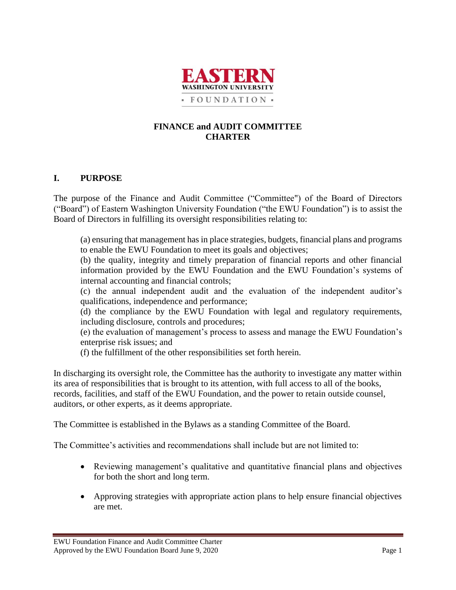

#### **FINANCE and AUDIT COMMITTEE CHARTER**

## **I. PURPOSE**

The purpose of the Finance and Audit Committee ("Committee") of the Board of Directors ("Board") of Eastern Washington University Foundation ("the EWU Foundation") is to assist the Board of Directors in fulfilling its oversight responsibilities relating to:

(a) ensuring that management has in place strategies, budgets, financial plans and programs to enable the EWU Foundation to meet its goals and objectives;

(b) the quality, integrity and timely preparation of financial reports and other financial information provided by the EWU Foundation and the EWU Foundation's systems of internal accounting and financial controls;

(c) the annual independent audit and the evaluation of the independent auditor's qualifications, independence and performance;

(d) the compliance by the EWU Foundation with legal and regulatory requirements, including disclosure, controls and procedures;

(e) the evaluation of management's process to assess and manage the EWU Foundation's enterprise risk issues; and

(f) the fulfillment of the other responsibilities set forth herein.

In discharging its oversight role, the Committee has the authority to investigate any matter within its area of responsibilities that is brought to its attention, with full access to all of the books, records, facilities, and staff of the EWU Foundation, and the power to retain outside counsel, auditors, or other experts, as it deems appropriate.

The Committee is established in the Bylaws as a standing Committee of the Board.

The Committee's activities and recommendations shall include but are not limited to:

- Reviewing management's qualitative and quantitative financial plans and objectives for both the short and long term.
- Approving strategies with appropriate action plans to help ensure financial objectives are met.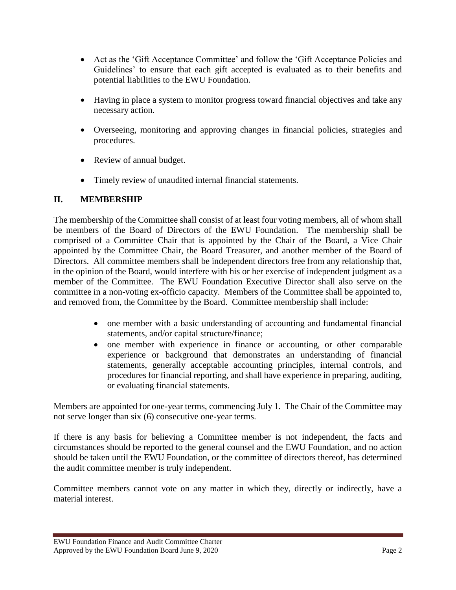- Act as the 'Gift Acceptance Committee' and follow the 'Gift Acceptance Policies and Guidelines' to ensure that each gift accepted is evaluated as to their benefits and potential liabilities to the EWU Foundation.
- Having in place a system to monitor progress toward financial objectives and take any necessary action.
- Overseeing, monitoring and approving changes in financial policies, strategies and procedures.
- Review of annual budget.
- Timely review of unaudited internal financial statements.

## **II. MEMBERSHIP**

The membership of the Committee shall consist of at least four voting members, all of whom shall be members of the Board of Directors of the EWU Foundation. The membership shall be comprised of a Committee Chair that is appointed by the Chair of the Board, a Vice Chair appointed by the Committee Chair, the Board Treasurer, and another member of the Board of Directors. All committee members shall be independent directors free from any relationship that, in the opinion of the Board, would interfere with his or her exercise of independent judgment as a member of the Committee. The EWU Foundation Executive Director shall also serve on the committee in a non-voting ex-officio capacity. Members of the Committee shall be appointed to, and removed from, the Committee by the Board. Committee membership shall include:

- one member with a basic understanding of accounting and fundamental financial statements, and/or capital structure/finance;
- one member with experience in finance or accounting, or other comparable experience or background that demonstrates an understanding of financial statements, generally acceptable accounting principles, internal controls, and procedures for financial reporting, and shall have experience in preparing, auditing, or evaluating financial statements.

Members are appointed for one-year terms, commencing July 1. The Chair of the Committee may not serve longer than six (6) consecutive one-year terms.

If there is any basis for believing a Committee member is not independent, the facts and circumstances should be reported to the general counsel and the EWU Foundation, and no action should be taken until the EWU Foundation, or the committee of directors thereof, has determined the audit committee member is truly independent.

Committee members cannot vote on any matter in which they, directly or indirectly, have a material interest.

EWU Foundation Finance and Audit Committee Charter Approved by the EWU Foundation Board June 9, 2020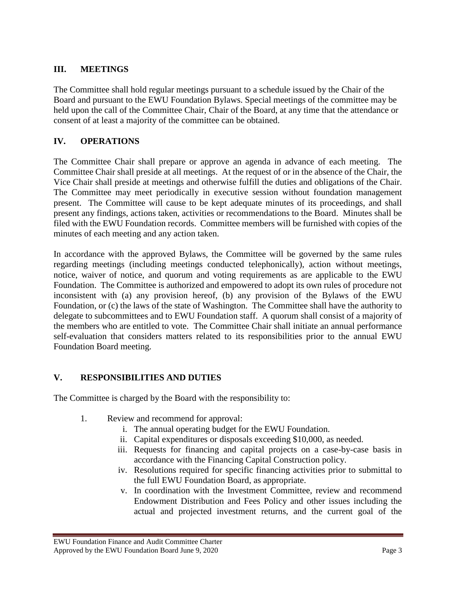# **III. MEETINGS**

The Committee shall hold regular meetings pursuant to a schedule issued by the Chair of the Board and pursuant to the EWU Foundation Bylaws. Special meetings of the committee may be held upon the call of the Committee Chair, Chair of the Board, at any time that the attendance or consent of at least a majority of the committee can be obtained.

# **IV. OPERATIONS**

The Committee Chair shall prepare or approve an agenda in advance of each meeting. The Committee Chair shall preside at all meetings. At the request of or in the absence of the Chair, the Vice Chair shall preside at meetings and otherwise fulfill the duties and obligations of the Chair. The Committee may meet periodically in executive session without foundation management present. The Committee will cause to be kept adequate minutes of its proceedings, and shall present any findings, actions taken, activities or recommendations to the Board. Minutes shall be filed with the EWU Foundation records. Committee members will be furnished with copies of the minutes of each meeting and any action taken.

In accordance with the approved Bylaws, the Committee will be governed by the same rules regarding meetings (including meetings conducted telephonically), action without meetings, notice, waiver of notice, and quorum and voting requirements as are applicable to the EWU Foundation. The Committee is authorized and empowered to adopt its own rules of procedure not inconsistent with (a) any provision hereof, (b) any provision of the Bylaws of the EWU Foundation, or (c) the laws of the state of Washington. The Committee shall have the authority to delegate to subcommittees and to EWU Foundation staff. A quorum shall consist of a majority of the members who are entitled to vote. The Committee Chair shall initiate an annual performance self-evaluation that considers matters related to its responsibilities prior to the annual EWU Foundation Board meeting.

#### **V. RESPONSIBILITIES AND DUTIES**

The Committee is charged by the Board with the responsibility to:

- 1. Review and recommend for approval:
	- i. The annual operating budget for the EWU Foundation.
	- ii. Capital expenditures or disposals exceeding \$10,000, as needed.
	- iii. Requests for financing and capital projects on a case-by-case basis in accordance with the Financing Capital Construction policy.
	- iv. Resolutions required for specific financing activities prior to submittal to the full EWU Foundation Board, as appropriate.
	- v. In coordination with the Investment Committee, review and recommend Endowment Distribution and Fees Policy and other issues including the actual and projected investment returns, and the current goal of the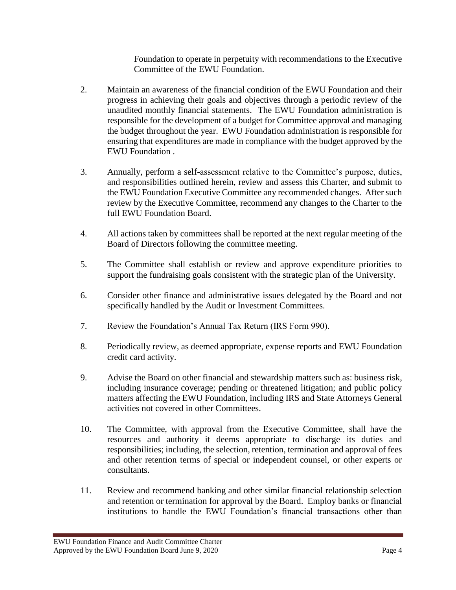Foundation to operate in perpetuity with recommendations to the Executive Committee of the EWU Foundation.

- 2. Maintain an awareness of the financial condition of the EWU Foundation and their progress in achieving their goals and objectives through a periodic review of the unaudited monthly financial statements. The EWU Foundation administration is responsible for the development of a budget for Committee approval and managing the budget throughout the year. EWU Foundation administration is responsible for ensuring that expenditures are made in compliance with the budget approved by the EWU Foundation .
- 3. Annually, perform a self-assessment relative to the Committee's purpose, duties, and responsibilities outlined herein, review and assess this Charter, and submit to the EWU Foundation Executive Committee any recommended changes. After such review by the Executive Committee, recommend any changes to the Charter to the full EWU Foundation Board.
- 4. All actions taken by committees shall be reported at the next regular meeting of the Board of Directors following the committee meeting.
- 5. The Committee shall establish or review and approve expenditure priorities to support the fundraising goals consistent with the strategic plan of the University.
- 6. Consider other finance and administrative issues delegated by the Board and not specifically handled by the Audit or Investment Committees.
- 7. Review the Foundation's Annual Tax Return (IRS Form 990).
- 8. Periodically review, as deemed appropriate, expense reports and EWU Foundation credit card activity.
- 9. Advise the Board on other financial and stewardship matters such as: business risk, including insurance coverage; pending or threatened litigation; and public policy matters affecting the EWU Foundation, including IRS and State Attorneys General activities not covered in other Committees.
- 10. The Committee, with approval from the Executive Committee, shall have the resources and authority it deems appropriate to discharge its duties and responsibilities; including, the selection, retention, termination and approval of fees and other retention terms of special or independent counsel, or other experts or consultants.
- 11. Review and recommend banking and other similar financial relationship selection and retention or termination for approval by the Board. Employ banks or financial institutions to handle the EWU Foundation's financial transactions other than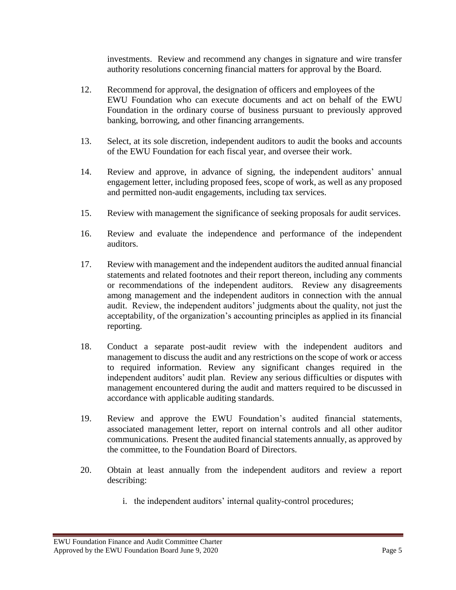investments. Review and recommend any changes in signature and wire transfer authority resolutions concerning financial matters for approval by the Board.

- 12. Recommend for approval, the designation of officers and employees of the EWU Foundation who can execute documents and act on behalf of the EWU Foundation in the ordinary course of business pursuant to previously approved banking, borrowing, and other financing arrangements.
- 13. Select, at its sole discretion, independent auditors to audit the books and accounts of the EWU Foundation for each fiscal year, and oversee their work.
- 14. Review and approve, in advance of signing, the independent auditors' annual engagement letter, including proposed fees, scope of work, as well as any proposed and permitted non-audit engagements, including tax services.
- 15. Review with management the significance of seeking proposals for audit services.
- 16. Review and evaluate the independence and performance of the independent auditors.
- 17. Review with management and the independent auditors the audited annual financial statements and related footnotes and their report thereon, including any comments or recommendations of the independent auditors. Review any disagreements among management and the independent auditors in connection with the annual audit. Review, the independent auditors' judgments about the quality, not just the acceptability, of the organization's accounting principles as applied in its financial reporting.
- 18. Conduct a separate post-audit review with the independent auditors and management to discuss the audit and any restrictions on the scope of work or access to required information. Review any significant changes required in the independent auditors' audit plan. Review any serious difficulties or disputes with management encountered during the audit and matters required to be discussed in accordance with applicable auditing standards.
- 19. Review and approve the EWU Foundation's audited financial statements, associated management letter, report on internal controls and all other auditor communications. Present the audited financial statements annually, as approved by the committee, to the Foundation Board of Directors.
- 20. Obtain at least annually from the independent auditors and review a report describing:
	- i. the independent auditors' internal quality-control procedures;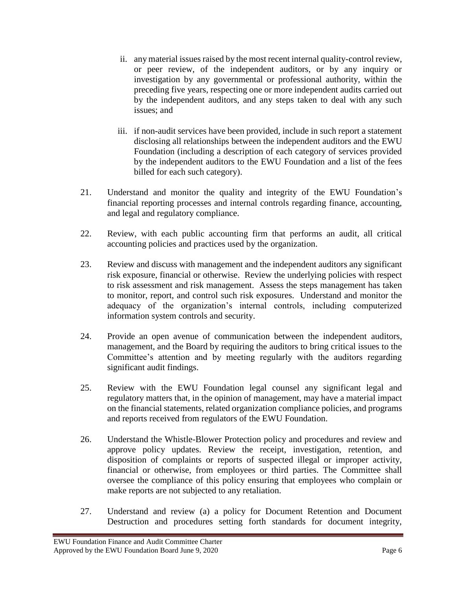- ii. any material issues raised by the most recent internal quality-control review, or peer review, of the independent auditors, or by any inquiry or investigation by any governmental or professional authority, within the preceding five years, respecting one or more independent audits carried out by the independent auditors, and any steps taken to deal with any such issues; and
- iii. if non-audit services have been provided, include in such report a statement disclosing all relationships between the independent auditors and the EWU Foundation (including a description of each category of services provided by the independent auditors to the EWU Foundation and a list of the fees billed for each such category).
- 21. Understand and monitor the quality and integrity of the EWU Foundation's financial reporting processes and internal controls regarding finance, accounting, and legal and regulatory compliance.
- 22. Review, with each public accounting firm that performs an audit, all critical accounting policies and practices used by the organization.
- 23. Review and discuss with management and the independent auditors any significant risk exposure, financial or otherwise. Review the underlying policies with respect to risk assessment and risk management. Assess the steps management has taken to monitor, report, and control such risk exposures. Understand and monitor the adequacy of the organization's internal controls, including computerized information system controls and security.
- 24. Provide an open avenue of communication between the independent auditors, management, and the Board by requiring the auditors to bring critical issues to the Committee's attention and by meeting regularly with the auditors regarding significant audit findings.
- 25. Review with the EWU Foundation legal counsel any significant legal and regulatory matters that, in the opinion of management, may have a material impact on the financial statements, related organization compliance policies, and programs and reports received from regulators of the EWU Foundation.
- 26. Understand the Whistle-Blower Protection policy and procedures and review and approve policy updates. Review the receipt, investigation, retention, and disposition of complaints or reports of suspected illegal or improper activity, financial or otherwise, from employees or third parties. The Committee shall oversee the compliance of this policy ensuring that employees who complain or make reports are not subjected to any retaliation.
- 27. Understand and review (a) a policy for Document Retention and Document Destruction and procedures setting forth standards for document integrity,